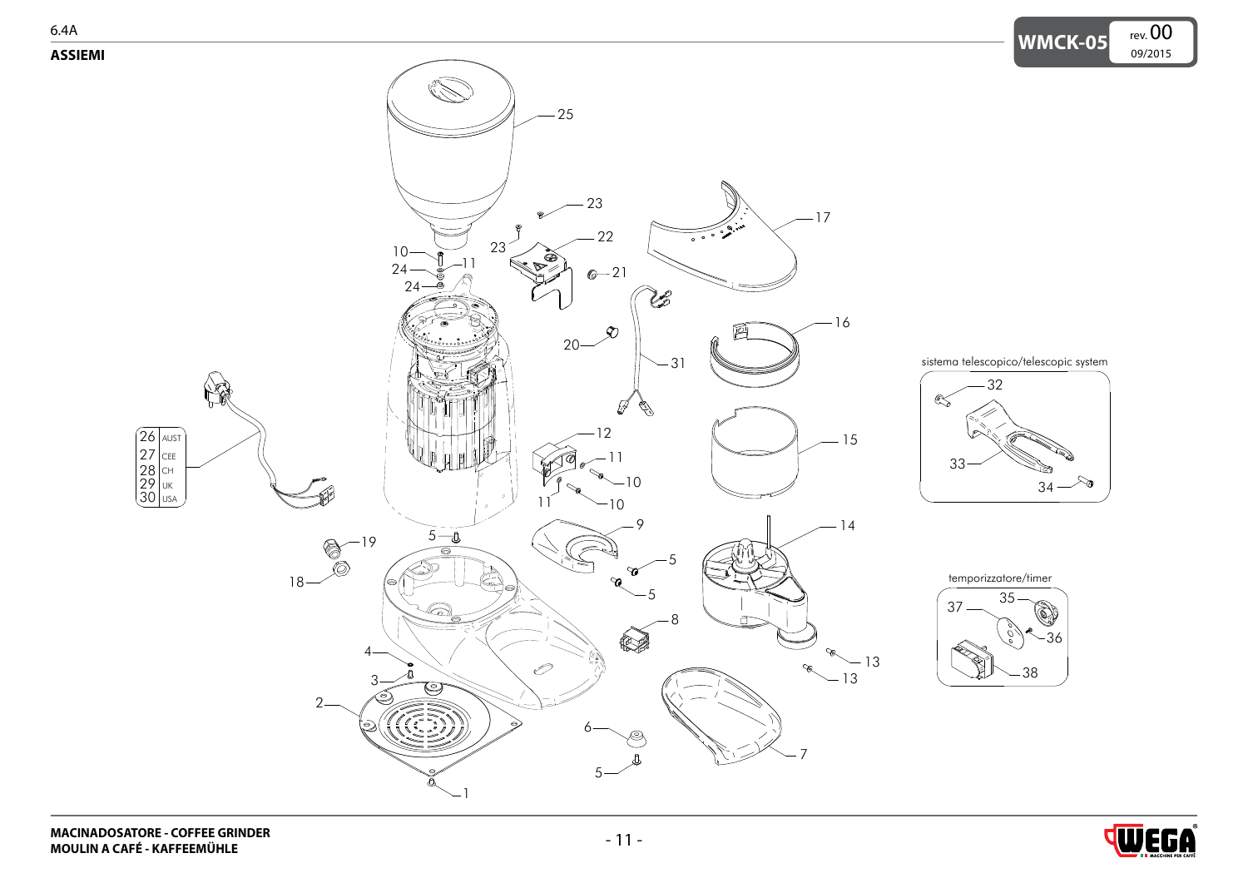<span id="page-0-0"></span>